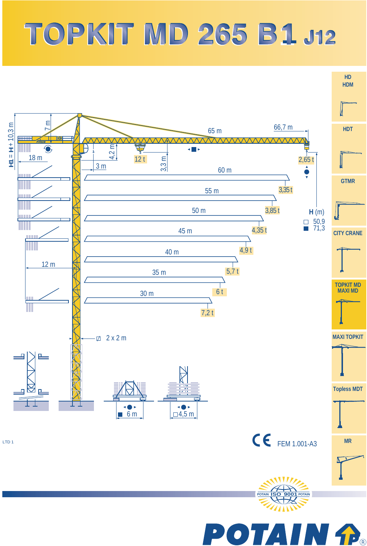## **TOPKIT MD 265 B1 J12**



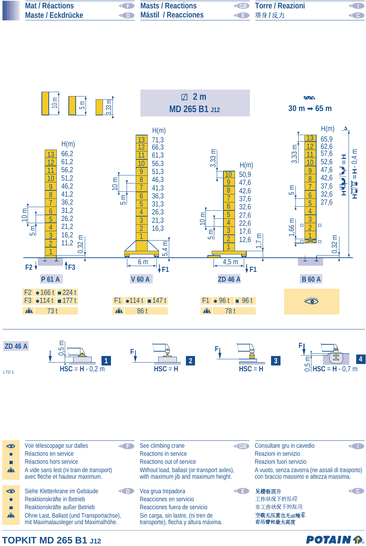| Mat / Réactions   | Masts / Reactions   | <b>Example 2</b> Torre / Reazioni | <b>KID</b> |
|-------------------|---------------------|-----------------------------------|------------|
| Maste / Eckdrücke | Mástil / Reacciones | ◀■ 塔身/反力                          | $<$ C $>$  |



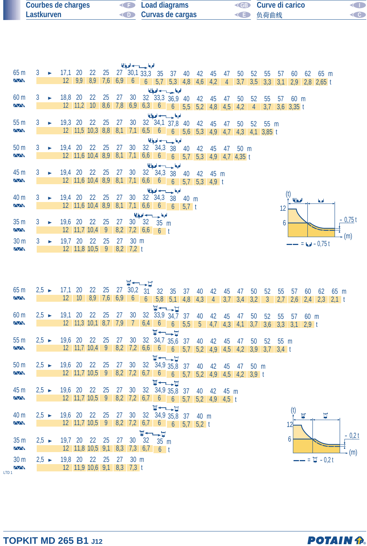| <b>Courbes de charges</b> | <b>Example 2</b> Load diagrams | <b>EXAMPLE STATES</b> Curve di carico | <b>CID</b> |
|---------------------------|--------------------------------|---------------------------------------|------------|
| Lastkurven                | <b>Curvas de cargas</b>        | ◆■ 负荷曲线                               | ( 6)       |

| للبوا حسيب لبوا |               |  |                 |                 |                  |                |     |                      |                 |                            |                   |                  |                       |             |                |                |     |                  |     |                 |    |              |          |
|-----------------|---------------|--|-----------------|-----------------|------------------|----------------|-----|----------------------|-----------------|----------------------------|-------------------|------------------|-----------------------|-------------|----------------|----------------|-----|------------------|-----|-----------------|----|--------------|----------|
| 65 <sub>m</sub> | 3             |  | 17,1            | 20              | 22               | 25             |     | $27^{6}30, 133, 333$ |                 |                            | 37                | 40               | 42                    | 45          | 47             | 50             | 52  | 55               | 57  | 60              | 62 | 65 m         |          |
| $\sqrt{N}$      |               |  | 12 <sup>7</sup> | 9,9             |                  | $8,9$ 7,6 6,9  |     | 6                    | 6               |                            | $5,7$ $5,3$ $4,8$ |                  | 4,6                   | 4,2         | $\overline{4}$ | 3,7            | 3,5 | 3,3              | 3,1 | 2,9             |    | $2,8$ 2,65 t |          |
| الملجا حسب لحبا |               |  |                 |                 |                  |                |     |                      |                 |                            |                   |                  |                       |             |                |                |     |                  |     |                 |    |              |          |
| 60 m            |               |  | 18,8 20         |                 | 22               | 25             | 27  | 30                   |                 | $32\quad 33,3\quad 36,9$   |                   | 40               | 42                    | 45          | 47             | 50             | 52  | 55               | 57  | 60 <sub>m</sub> |    |              |          |
| $\sqrt{N}$      |               |  |                 | $12 \quad 11,2$ | 10               | 8,6            | 7,8 | 6,9                  |                 |                            |                   |                  | $6,3$ 6 6 5,5 5,2 4,8 |             | 4,5            | 4,2            | 4   | 3,7              |     | $3,6$ 3,35 t    |    |              |          |
| الملجا حسب لحيا |               |  |                 |                 |                  |                |     |                      |                 |                            |                   |                  |                       |             |                |                |     |                  |     |                 |    |              |          |
| 55 <sub>m</sub> |               |  | $19,3$ 20       |                 | 22               | 25             | 27  | 30                   |                 | $32 \quad 34,1 \quad 37,8$ |                   | 40               | 42                    | 45          | 47             | 50             | 52  | $55 \text{ m}$   |     |                 |    |              |          |
| $\sqrt{N}$      |               |  |                 |                 | 12 11,5 10,3 8,8 |                | 8,1 | 7,1                  |                 |                            |                   |                  | $6,5$ 6 6 5,6 5,3 4,9 |             | 4,7            |                |     | $4,3$ 4,1 3,85 t |     |                 |    |              |          |
|                 |               |  |                 |                 |                  |                |     |                      |                 | الملجا حسيب اديا           |                   |                  |                       |             |                |                |     |                  |     |                 |    |              |          |
| 50 <sub>m</sub> |               |  | 19,4            | 20              | 22               | 25             | 27  | 30                   |                 | 32 34,3 38                 |                   | 40               | 42                    | 45          | 47             | $50 \text{ m}$ |     |                  |     |                 |    |              |          |
| $\sqrt{N}$      |               |  |                 |                 | 12 11,6 10,4 8,9 |                | 8,1 | 7,1                  | 6,6             | $6\overline{6}$            | $\overline{6}$    | 5,7              |                       | $5,3$ 4,9   |                | $4,7$ 4,35 t   |     |                  |     |                 |    |              |          |
|                 | الملوا وسيدرج |  |                 |                 |                  |                |     |                      |                 |                            |                   |                  |                       |             |                |                |     |                  |     |                 |    |              |          |
| 45 m            |               |  | 19,4            | <b>20</b>       | <b>22</b>        | 25             | 27  | 30                   |                 | $32^{6}$ 34,3 38           |                   | 40               | 42                    | 45 m        |                |                |     |                  |     |                 |    |              |          |
| $\sqrt{N}$      |               |  |                 |                 | 12 11,6 10,4 8,9 |                | 8,1 | 7,1                  | 6,6             | $\overline{6}$             | 6                 | 5,7              |                       | $5,3$ 4,9 t |                |                |     |                  |     |                 |    |              |          |
|                 |               |  |                 |                 |                  |                |     |                      |                 | الملجا حسب لحيا            |                   |                  |                       |             |                |                |     |                  |     |                 |    |              |          |
| 40 m            |               |  | 19.4            | 20              | 22               | 25             | 27  | 30                   | 32 <sup>2</sup> | 34,3                       | 38                | 40 m             |                       |             |                |                |     |                  |     | لهعالما         |    | اما          |          |
| $\sqrt{N}$      |               |  |                 |                 | 12 11,6 10,4 8,9 |                | 8,1 | 7.1                  | 6,6             | $\mathfrak b$              | 6                 | 5.7 <sub>t</sub> |                       |             |                |                |     |                  | 12  |                 |    |              |          |
|                 |               |  |                 |                 |                  |                |     |                      |                 | اللواحس لوا                |                   |                  |                       |             |                |                |     |                  |     |                 |    |              |          |
| 35 <sub>m</sub> |               |  | 19,6 20         |                 | 22               | 25             | 27  | 30                   | 32              | 35 m                       |                   |                  |                       |             |                |                |     |                  | b   |                 |    |              | $-0,75t$ |
| $\sqrt{N}$      |               |  |                 |                 | $12$ 11,7 10,4   | 9              |     | $8,2$ 7,2            | 6,6             | $6-1$                      |                   |                  |                       |             |                |                |     |                  |     |                 |    |              |          |
| 30 <sub>m</sub> |               |  | 19,7            | 20              | 22               | 25             | 27  | 30 m                 |                 |                            |                   |                  |                       |             |                |                |     |                  |     |                 |    |              | (m)      |
| $\sqrt{N}$      |               |  |                 |                 | 12 11,8 10,5     | $\overline{9}$ | 8,2 | $7,2$ t              |                 |                            |                   |                  |                       |             |                |                |     |                  |     |                 |    | $= 0.75 t$   |          |
|                 |               |  |                 |                 |                  |                |     |                      |                 |                            |                   |                  |                       |             |                |                |     |                  |     |                 |    |              |          |

| 65 <sub>m</sub>  | $2,5 \rightarrow$ | 17,1            | 20      |                                      | 22 25          | 27        | 30,2            | 31              | 32             | 35 <sub>5</sub>            | 37  | 40             | 42              | 45                | 47  | 50      | 52           | 55      | 57  | 60             | 62                       | 65 m |      |
|------------------|-------------------|-----------------|---------|--------------------------------------|----------------|-----------|-----------------|-----------------|----------------|----------------------------|-----|----------------|-----------------|-------------------|-----|---------|--------------|---------|-----|----------------|--------------------------|------|------|
| $\sqrt{N}$       |                   | 12 <sup>2</sup> | 10      | 8,9                                  |                | $7,6$ 6,9 | 6               | $\overline{6}$  | 5,8            | 5,1                        | 4,8 | 4,3            | $\overline{4}$  | 3,7               | 3,4 | 3,2     | $\mathbf{3}$ | 2,7     |     | $2,6$ 2,4      | $2,3$ 2,1 t              |      |      |
|                  |                   |                 |         |                                      |                |           |                 |                 |                | <b>W←→H</b>                |     |                |                 |                   |     |         |              |         |     |                |                          |      |      |
| 60 <sub>m</sub>  | $2.5 \rightarrow$ | 19,1            | 20      | 22                                   | 25             | 27        | 30              |                 |                | $32 \quad 33,9 \quad 34,7$ | 37  | 40             | 42              | 45                | 47  | 50      | 52           | 55      | 57  | $60 \text{ m}$ |                          |      |      |
| <b>AA</b>        |                   |                 |         | $12 \quad 11,3 \quad 10,1 \quad 8,7$ |                | 7,9       | $\overline{1}$  |                 | $6,4$ 6        | $6 \quad 5,5$              |     | 5 <sup>1</sup> |                 | $4,7$ $4,3$ $4,1$ |     | 3,7     | 3,6          | 3,3     | 3,1 | $2,9$ t        |                          |      |      |
|                  |                   |                 |         |                                      |                |           |                 |                 |                | <b>W←→H</b>                |     |                |                 |                   |     |         |              |         |     |                |                          |      |      |
| 55 <sub>m</sub>  | $2.5 \rightarrow$ | 19,6            | 20      | 22                                   | 25             | 27        | 30              |                 |                | 32 34,7 35,6 37            |     | 40             | 42              | 45                | 47  | 50      | 52           | 55 m    |     |                |                          |      |      |
| $\sqrt{N}$       |                   |                 |         | $12$ 11,7 10,4                       | 9              | 8,2       | 7,2             |                 |                | $6,6$ 6 6 5,7              |     | 5,2            | 4,9             | 4,5               | 4,2 | 3,9     | 3,7          | $3,4$ t |     |                |                          |      |      |
|                  |                   |                 |         |                                      |                |           |                 |                 |                | <b>W←→⊔</b>                |     |                |                 |                   |     |         |              |         |     |                |                          |      |      |
| 50 <sub>m</sub>  | $2.5 \rightarrow$ | 19,6            | 20      | 22                                   | 25             | 27        | 30              | 32 <sup>°</sup> |                | 34,9 35,8                  | 37  | 40             | 42              | 45                | 47  | 50 m    |              |         |     |                |                          |      |      |
| $\overline{N}$   |                   |                 |         | $12$ 11,7 10,5                       | $\overline{9}$ |           | $8,2$ 7,2       | 6,7             |                | 66                         | 5,7 | 5.2            | 4,9             | 4,5               | 4,2 | $3,9$ t |              |         |     |                |                          |      |      |
|                  |                   |                 |         |                                      |                |           |                 |                 |                | <b>W←–––⊔</b>              |     |                |                 |                   |     |         |              |         |     |                |                          |      |      |
| 45 m             | $2.5 \rightarrow$ | 19,6            | 20      | 22                                   | 25             | 27        | 30              | 32              |                | 34,9 35,8 37               |     | 40             | 42              | 45 m              |     |         |              |         |     |                |                          |      |      |
| <b>AA</b>        |                   |                 |         | $12$ 11,7 10,5                       | 9              |           | $8,2$ 7,2       | 6,7             |                | $6 \t 6 \t 5.7$            |     |                | $5,2$ 4,9 4,5 t |                   |     |         |              |         |     |                |                          |      |      |
|                  |                   |                 |         |                                      |                |           |                 |                 |                | <b>W←→⊔</b>                |     |                |                 |                   |     |         |              |         |     |                |                          |      |      |
| 40 m             | $2,5 \rightarrow$ | 19,6            | 20      | 22                                   | 25             | 27        | 30              | 32 <sup>2</sup> |                | 34,9 35,8 37               |     | 40 m           |                 |                   |     |         |              |         |     |                | Ħ                        |      |      |
| $\sqrt{N}$       |                   |                 |         | $12$ 11,7 10,5                       | 9              |           | $8,2$ 7,2       | 6,7             | 6              | 6                          |     | $5,7$ 5,2 t    |                 |                   |     |         |              |         |     |                |                          |      |      |
|                  |                   |                 |         |                                      |                |           |                 | ™≁              | ∸−¤            |                            |     |                |                 |                   |     |         |              |         |     |                |                          |      | 0,2t |
| 35 <sub>m</sub>  | $2,5 \rightarrow$ | 19,7            | 20      | 22                                   | 25             | 27        | 30 <sup>°</sup> | 32              | $35 \text{ m}$ |                            |     |                |                 |                   |     |         |              |         | b   |                |                          |      |      |
| <b>AA</b>        |                   |                 |         | 12 11,8 10,5 9,1                     |                | 8,3       | 7,3             | 6,7             | $6$ t          |                            |     |                |                 |                   |     |         |              |         |     |                |                          |      | (m)  |
| 30 m             | $2.5 \rightarrow$ |                 | 19,8 20 | 22                                   | 25             | 27        | 30 m            |                 |                |                            |     |                |                 |                   |     |         |              |         |     |                | $- = \frac{1}{2} - 0.2t$ |      |      |
| $\sqrt{N}$       |                   |                 |         | $12$ 11,9 10,6 9,1                   |                | 8,3       | 7,3 t           |                 |                |                            |     |                |                 |                   |     |         |              |         |     |                |                          |      |      |
| LTD <sub>1</sub> |                   |                 |         |                                      |                |           |                 |                 |                |                            |     |                |                 |                   |     |         |              |         |     |                |                          |      |      |

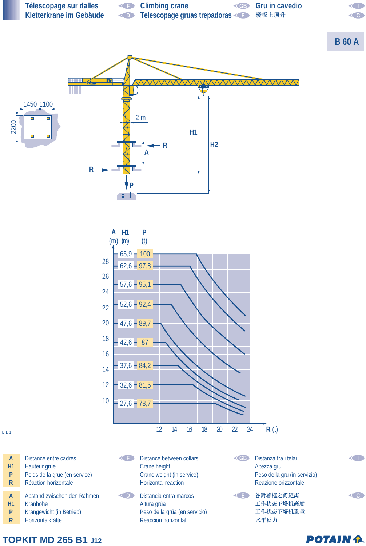

**TOPKIT MD 265 B1 J12**

**POTAIN P.**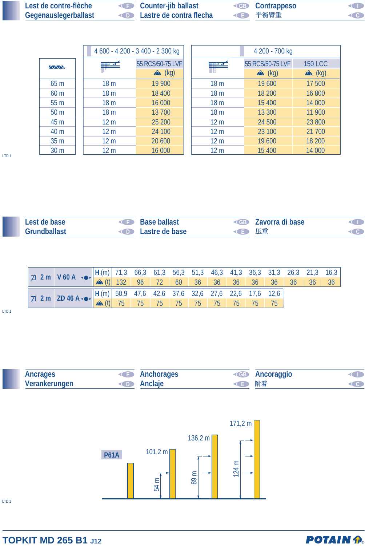| Lest de contre-flèche       | <b>Counter-jib ballast</b>                | <b>EB</b> Contrappeso | <b>KID</b>          |
|-----------------------------|-------------------------------------------|-----------------------|---------------------|
| <b>Gegenauslegerballast</b> | <b>Example 20 Lastre de contra flecha</b> | ← 平衡臂重                | $\langle 0 \rangle$ |

|                 |                 | 4 600 - 4 200 - 3 400 - 2 300 kg | 4 200 - 700 kg  |                  |                |  |  |  |  |
|-----------------|-----------------|----------------------------------|-----------------|------------------|----------------|--|--|--|--|
| <b>AVVN</b>     | $\equiv$ $\sim$ | 55 RCS/50-75 LVF                 | $\blacksquare$  | 55 RCS/50-75 LVF | <b>150 LCC</b> |  |  |  |  |
|                 |                 | $x^2$ (kg)                       |                 | $x^2$ (kg)       | $x^2$ (kg)     |  |  |  |  |
| 65 <sub>m</sub> | 18 <sub>m</sub> | 19 900                           | 18 <sub>m</sub> | 19 600           | 17500          |  |  |  |  |
| 60 <sub>m</sub> | 18 <sub>m</sub> | 18 400                           | 18 <sub>m</sub> | 18 200           | 16 800         |  |  |  |  |
| 55 <sub>m</sub> | 18 <sub>m</sub> | 16 000                           | 18 <sub>m</sub> | 15 400           | 14 000         |  |  |  |  |
| 50 <sub>m</sub> | 18 <sub>m</sub> | 13 700                           | 18 <sub>m</sub> | 13 300           | 11 900         |  |  |  |  |
| 45 m            | 12 <sub>m</sub> | 25 200                           | 12 <sub>m</sub> | 24 500           | 23 800         |  |  |  |  |
| 40 m            | 12 <sub>m</sub> | 24 100                           | 12 <sub>m</sub> | 23 100           | 21 700         |  |  |  |  |
| 35 <sub>m</sub> | 12 <sub>m</sub> | 20 600                           | 12 <sub>m</sub> | 19 600           | 18 200         |  |  |  |  |
| 30 <sub>m</sub> | 12 <sub>m</sub> | 16 000                           | 12 <sub>m</sub> | 15 400           | 14 000         |  |  |  |  |

| Lest de base | <b>Base ballast</b><br>$\left( \begin{array}{c} 1 \\ 1 \end{array} \right)$ |      | <b>EXAMPLE 2</b> Zavorra di base |  |
|--------------|-----------------------------------------------------------------------------|------|----------------------------------|--|
| Grundballast | <b>Example 2</b> Lastre de base                                             | ◆ 下車 |                                  |  |

|  | $\boxed{\Box$ 2 m $\boxed{V 60 A \cdot \bullet}$ $\boxed{H(m)}$ 71,3 66,3 61,3 56,3 51,3 46,3 41,3 36,3 31,3 26,3 21,3 16,3 $\boxed{3}$<br>$\boxed{\Box}$ 2 m $\boxed{V 60 A \cdot \bullet}$ $\boxed{H(m)}$ 132 96 72 60 36 36 36 36 36 36 36 36 36 36            |  |  |  |  |  |  |  |
|--|-------------------------------------------------------------------------------------------------------------------------------------------------------------------------------------------------------------------------------------------------------------------|--|--|--|--|--|--|--|
|  | $\boxed{\Box \quad 2 \text{ m} \quad \text{ZD 46 A} \cdot \bullet \cdot \begin{array}{ l l l l l } \hline H(m) & 50.9 & 47.6 & 42.6 & 37.6 & 32.6 & 27.6 & 22.6 & 17.6 & 12.6 \\ \hline \text{A} & (t) & 75 & 75 & 75 & 75 & 75 & 75 & 75 & 75 & 75 \end{array}}$ |  |  |  |  |  |  |  |
|  |                                                                                                                                                                                                                                                                   |  |  |  |  |  |  |  |

LTD 1



## **TOPKIT MD 265 B1 J12**